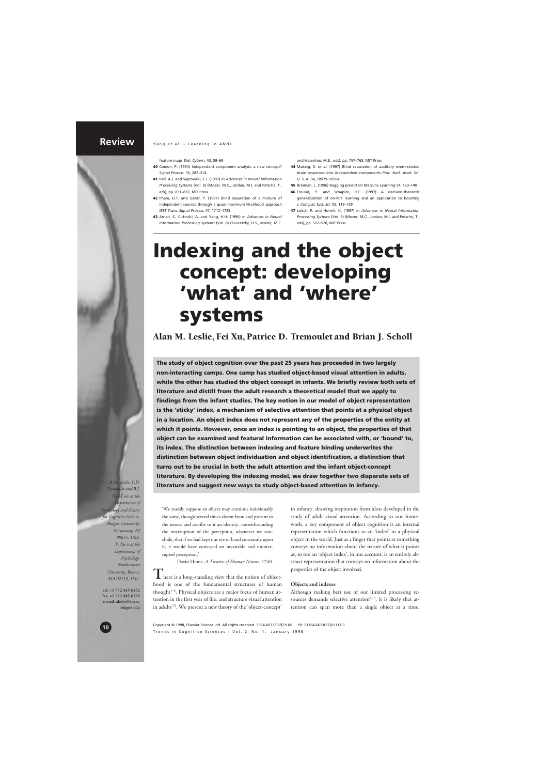feature maps *Biol. Cybern.* 43, 59–69

- **40** Comon, P. (1994) Independent component analysis, a new concept? *Signal Process.* 36, 287–314
- **41** Bell, A.J. and Sejnowski, T.J. (1997) in *Advances in Neural Information Processing Systems* (Vol. 9) (Mozer, M.C., Jordan, M.I. and Petsche, T., eds), pp. 831–837, MIT Press
- **42** Pham, D.T. and Garat, P. (1997) Blind separation of a mixture of independent sources through a quasi-maximum likelihood approach *IEEE Trans. Signal Process.* 47, 1712–1725
- **43** Amari, S., Cichocki, A. and Yang, H.H. (1996) in *Advances in Neural Information Processing Systems* (Vol. 8) (Touretzky, D.S., Mozer, M.C.

and Hasselmo, M.E., eds), pp. 757–763, MIT Press

- **44** Makeig, S. *et al.* (1997) Blind separation of auditory event-related brain responses into independent components *Proc. Natl. Acad. Sci. U. S. A.* 94, 10979–10984
- **45** Breiman, L. (1996) Bagging predictors *Machine Learning* 24, 123–140
- **46** Freund, Y. and Schapire, R.E. (1997) A decision-theoretic generalization of on-line learning and an application to boosting *J. Comput. Syst. Sci.* 55, 119–139
- **47** Leisch, F. and Hornik, K. (1997) in *Advances in Neural Information Processing Systems* (Vol. 9) (Mozer, M.C., Jordan, M.I. and Petsche, T., eds), pp. 522–528, MIT Press

# **Indexing and the object concept: developing 'what' and 'where' systems**

Alan M. Leslie, Fei Xu, Patrice D. Tremoulet and Brian J. Scholl

**The study of object cognition over the past 25 years has proceeded in two largely non-interacting camps. One camp has studied object-based visual attention in adults, while the other has studied the object concept in infants. We briefly review both sets of literature and distill from the adult research a theoretical model that we apply to findings from the infant studies. The key notion in our model of object representation is the 'sticky' index, a mechanism of selective attention that points at a physical object in a location. An object index does not represent any of the properties of the entity at which it points. However, once an index is pointing to an object, the properties of that object can be examined and featural information can be associated with, or 'bound' to, its index. The distinction between indexing and feature binding underwrites the distinction between object individuation and object identification, a distinction that turns out to be crucial in both the adult attention and the infant object-concept literature. By developing the indexing model, we draw together two disparate sets of literature and suggest new ways to study object-based attention in infancy.** *A.M. Leslie, P.D.*

*Tremoulet and B.J. Scholl are at the Department of <i>Pogy* and Center *for Cognitive Science, Rutgers University, Piscataway, NJ 08855, USA. F. Xu is at the Department of Psychology, Northeastern University, Boston, MA 02115, USA.*

**tel: +1 732 445 6152 fax: +1 732 445 6280 e-mail: aleslie@ruccs. rutgers.edu**

**10**

'We readily suppose an object may continue individually the same, though several times absent from and present to the senses; and ascribe to it an identity, notwithstanding the interruption of the perception, whenever we conclude, that if we had kept our eye or hand constantly upon it, it would have conveyed an invariable and uninterrupted perception.'

David Hume, *A Treatise of Human Nature*, 1740.

**T**here is a long-standing view that the notion of objecthood is one of the fundamental structures of human thought<sup>1-6</sup>. Physical objects are a major focus of human attention in the first year of life, and structure visual attention in adults<sup>7,8</sup>. We present a new theory of the 'object-concept'

in infancy, drawing inspiration from ideas developed in the study of adult visual attention. According to our framework, a key component of object cognition is an internal representation which functions as an 'index' to a physical object in the world. Just as a finger that points at something conveys no information about the nature of what it points at, so too an 'object index', in our account, is an entirely abstract representation that conveys no information about the properties of the object involved.

#### **Objects and indexes**

Although making best use of our limited processing resources demands selective attention<sup>9,10</sup>, it is likely that attention can span more than a single object at a time.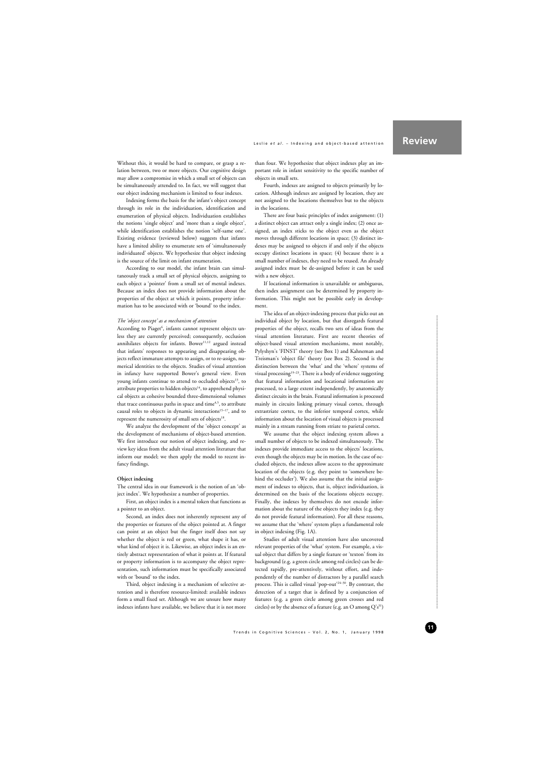**Review**

Without this, it would be hard to compare, or grasp a relation between, two or more objects. Our cognitive design may allow a compromise in which a small set of objects can be simultaneously attended to. In fact, we will suggest that our object indexing mechanism is limited to four indexes.

Indexing forms the basis for the infant's object concept through its role in the individuation, identification and enumeration of physical objects. Individuation establishes the notions 'single object' and 'more than a single object', while identification establishes the notion 'self-same one'. Existing evidence (reviewed below) suggests that infants have a limited ability to enumerate sets of 'simultaneously individuated' objects. We hypothesize that object indexing is the source of the limit on infant enumeration.

According to our model, the infant brain can simultaneously track a small set of physical objects, assigning to each object a 'pointer' from a small set of mental indexes. Because an index does not provide information about the properties of the object at which it points, property information has to be associated with or 'bound' to the index.

### *The 'object concept' as a mechanism of attention*

According to Piaget<sup>6</sup>, infants cannot represent objects unless they are currently perceived; consequently, occlusion annihilates objects for infants. Bower<sup>11,12</sup> argued instead that infants' responses to appearing and disappearing objects reflect immature attempts to assign, or to re-assign, numerical identities to the objects. Studies of visual attention in infancy have supported Bower's general view. Even young infants continue to attend to occluded objects<sup>13</sup>, to attribute properties to hidden objects<sup>14</sup>, to apprehend physical objects as cohesive bounded three-dimensional volumes that trace continuous paths in space and time $4,5$ , to attribute causal roles to objects in dynamic interactions<sup>15-17</sup>, and to represent the numerosity of small sets of objects<sup>18</sup>.

We analyze the development of the 'object concept' as the development of mechanisms of object-based attention. We first introduce our notion of object indexing, and review key ideas from the adult visual attention literature that inform our model; we then apply the model to recent infancy findings.

#### **Object indexing**

The central idea in our framework is the notion of an 'object index'. We hypothesize a number of properties.

First, an object index is a mental token that functions as a pointer to an object.

Second, an index does not inherently represent any of the properties or features of the object pointed at. A finger can point at an object but the finger itself does not say whether the object is red or green, what shape it has, or what kind of object it is. Likewise, an object index is an entirely abstract representation of what it points at. If featural or property information is to accompany the object representation, such information must be specifically associated with or 'bound' to the index.

Third, object indexing is a mechanism of selective attention and is therefore resource-limited: available indexes form a small fixed set. Although we are unsure how many indexes infants have available, we believe that it is not more

than four. We hypothesize that object indexes play an important role in infant sensitivity to the specific number of objects in small sets.

Fourth, indexes are assigned to objects primarily by location. Although indexes are assigned by location, they are not assigned to the locations themselves but to the objects in the locations.

There are four basic principles of index assignment: (1) a distinct object can attract only a single index; (2) once assigned, an index sticks to the object even as the object moves through different locations in space; (3) distinct indexes may be assigned to objects if and only if the objects occupy distinct locations in space; (4) because there is a small number of indexes, they need to be reused. An already assigned index must be de-assigned before it can be used with a new object.

If locational information is unavailable or ambiguous, then index assignment can be determined by property information. This might not be possible early in development.

The idea of an object-indexing process that picks out an individual object by location, but that disregards featural properties of the object, recalls two sets of ideas from the visual attention literature. First are recent theories of object-based visual attention mechanisms, most notably, Pylyshyn's 'FINST' theory (see Box 1) and Kahneman and Treisman's 'object file' theory (see Box 2). Second is the distinction between the 'what' and the 'where' systems of visual processing<sup>19-23</sup>. There is a body of evidence suggesting that featural information and locational information are processed, to a large extent independently, by anatomically distinct circuits in the brain. Featural information is processed mainly in circuits linking primary visual cortex, through extrastriate cortex, to the inferior temporal cortex, while information about the location of visual objects is processed mainly in a stream running from striate to parietal cortex.

We assume that the object indexing system allows a small number of objects to be indexed simultaneously. The indexes provide immediate access to the objects' locations, even though the objects may be in motion. In the case of occluded objects, the indexes allow access to the approximate location of the objects (e.g. they point to 'somewhere behind the occluder'). We also assume that the initial assignment of indexes to objects, that is, object individuation, is determined on the basis of the locations objects occupy. Finally, the indexes by themselves do not encode information about the nature of the objects they index (e.g. they do not provide featural information). For all these reasons, we assume that the 'where' system plays a fundamental role in object indexing (Fig. 1A).

Studies of adult visual attention have also uncovered relevant properties of the 'what' system. For example, a visual object that differs by a single feature or 'texton' from its background (e.g. a green circle among red circles) can be detected rapidly, pre-attentively, without effort, and independently of the number of distractors by a parallel search process. This is called visual 'pop-out'24–30. By contrast, the detection of a target that is defined by a conjunction of features (e.g. a green circle among green crosses and red circles) or by the absence of a feature (e.g. an O among  $Q's<sup>31</sup>$ )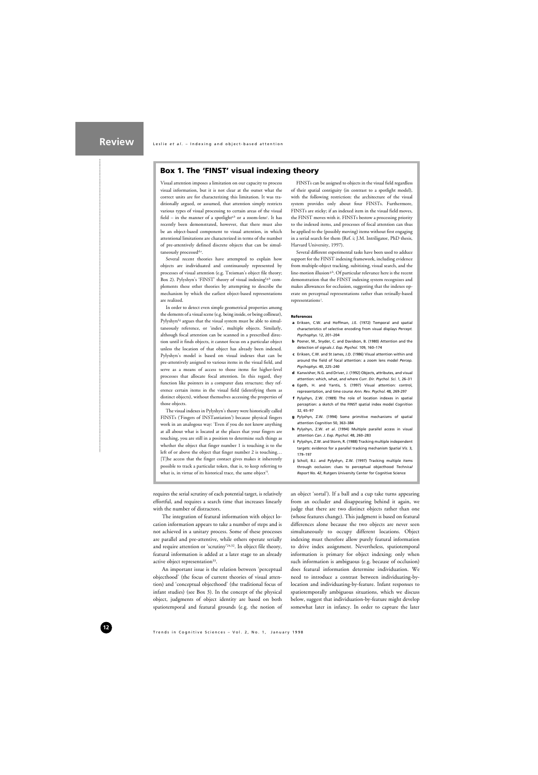# **Box 1. The 'FINST' visual indexing theory**

Visual attention imposes a limitation on our capacity to process visual information, but it is not clear at the outset what the correct units are for characterizing this limitation. It was traditionally argued, or assumed, that attention simply restricts various types of visual processing to certain areas of the visual field – in the manner of a spotlight<sup>a,b</sup> or a zoom-lens<sup>c</sup>. It has recently been demonstrated, however, that there must also be an object-based component to visual attention, in which attentional limitations are characterized in terms of the number of pre-attentively defined discrete objects that can be simultaneously processed<sup>d,e</sup>.

Several recent theories have attempted to explain how objects are individuated and continuously represented by processes of visual attention (e.g. Treisman's object file theory; Box 2). Pylyshyn's 'FINST' theory of visual indexing<sup>f,g,h</sup> complements these other theories by attempting to describe the mechanism by which the earliest object-based representations are realized.

In order to detect even simple geometrical properties among the elements of a visual scene (e.g. being inside, or being collinear), Pylyshyn<sup>fg</sup> argues that the visual system must be able to simultaneously reference, or 'index', multiple objects. Similarly, although focal attention can be scanned in a prescribed direction until it finds objects, it cannot focus on a particular object unless the location of that object has already been indexed. Pylyshyn's model is based on visual indexes that can be pre-attentively assigned to various items in the visual field, and serve as a means of access to those items for higher-level processes that allocate focal attention. In this regard, they function like pointers in a computer data structure; they reference certain items in the visual field (identifying them as distinct objects), without themselves accessing the properties of those objects.

The visual indexes in Pylyshyn's theory were historically called FINSTs ('Fingers of INSTantiation') because physical fingers work in an analogous way: 'Even if you do not know anything at all about what is located at the places that your fingers are touching, you are still in a position to determine such things as whether the object that finger number 1 is touching is to the left of or above the object that finger number 2 is touching… [T]he access that the finger contact gives makes it inherently possible to track a particular token, that is, to keep referring to what is, in virtue of its historical trace, the same object'f .

FINSTs can be assigned to objects in the visual field regardless of their spatial contiguity (in contrast to a spotlight model), with the following restriction: the architecture of the visual system provides only about four FINSTs. Furthermore, FINSTs are sticky; if an indexed item in the visual field moves, the FINST moves with it. FINSTs bestow a processing priority to the indexed items, and processes of focal attention can thus be applied to the (possibly moving) items without first engaging in a serial search for them (Ref. i; J.M. Intriligator, PhD thesis, Harvard University, 1997).

Several different experimental tasks have been used to adduce support for the FINST indexing framework, including evidence from multiple-object tracking, subitizing, visual search, and the line-motion illusion<sup>g,h</sup>. Of particular relevance here is the recent demonstration that the FINST indexing system recognizes and makes allowances for occlusion, suggesting that the indexes operate on perceptual representations rather than retinally-based representations<sup>j</sup>.

#### **References**

- **a** Eriksen, C.W. and Hoffman, J.E. (1972) Temporal and spatial characteristics of selective encoding from visual displays *Percept. Psychophys.* 12, 201–204
- **b** Posner, M., Snyder, C. and Davidson, B. (1980) Attention and the detection of signals *J. Exp. Psychol.* 109, 160–174
- **c** Eriksen, C.W. and St James, J.D. (1986) Visual attention within and around the field of focal attention: a zoom lens model *Percep. Psychophys.* 40, 225–240
- **d** Kanwisher, N.G. and Driver, J. (1992) Objects, attributes, and visual attention: which, what, and where *Curr. Dir. Psychol. Sci.* 1, 26–31
- **e** Egeth, H. and Yantis, S. (1997) Visual attention: control, representation, and time course *Ann. Rev. Psychol.* 48, 269-297
- **f** Pylyshyn, Z.W. (1989) The role of location indexes in spatial perception: a sketch of the FINST spatial index model *Cognition* 32, 65–97
- **g** Pylyshyn, Z.W. (1994) Some primitive mechanisms of spatial attention *Cognition* 50, 363–384
- **h** Pylyshyn, Z.W. *et al.* (1994) Multiple parallel access in visual attention *Can. J. Exp. Psychol.* 48, 260–283
- **i** Pylyshyn, Z.W. and Storm, R. (1988) Tracking multiple independent targets: evidence for a parallel tracking mechanism *Spatial Vis.* 3, 179–197
- **j** Scholl, B.J. and Pylyshyn, Z.W. (1997) Tracking multiple items through occlusion: clues to perceptual objecthood *Technical Report No. 42*, Rutgers University Center for Cognitive Science

requires the serial scrutiny of each potential target, is relatively effortful, and requires a search time that increases linearly with the number of distractors.

The integration of featural information with object location information appears to take a number of steps and is not achieved in a unitary process. Some of these processes are parallel and pre-attentive, while others operate serially and require attention or 'scrutiny'24,32. In object file theory, featural information is added at a later stage to an already active object representation<sup>33</sup>.

An important issue is the relation between 'perceptual objecthood' (the focus of current theories of visual attention) and 'conceptual objecthood' (the traditional focus of infant studies) (see Box 3). In the concept of the physical object, judgments of object identity are based on both spatiotemporal and featural grounds (e.g. the notion of an object 'sortal'). If a ball and a cup take turns appearing from an occluder and disappearing behind it again, we judge that there are two distinct objects rather than one (whose features change). This judgment is based on featural differences alone because the two objects are never seen simultaneously to occupy different locations. Object indexing must therefore allow purely featural information to drive index assignment. Nevertheless, spatiotemporal information is primary for object indexing; only when such information is ambiguous (e.g. because of occlusion) does featural information determine individuation. We need to introduce a contrast between individuating-bylocation and individuating-by-feature. Infant responses to spatiotemporally ambiguous situations, which we discuss below, suggest that individuation-by-feature might develop somewhat later in infancy. In order to capture the later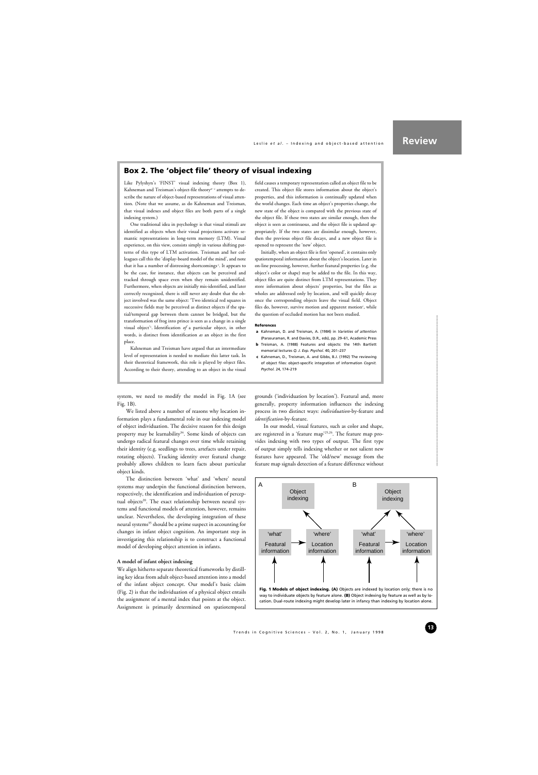## **Box 2. The 'object file' theory of visual indexing**

Like Pylyshyn's 'FINST' visual indexing theory (Box 1), Kahneman and Treisman's object-file theory<sup>a-c</sup> attempts to describe the nature of object-based representations of visual attention. (Note that we assume, as do Kahneman and Treisman, that visual indexes and object files are both parts of a single indexing system.)

One traditional idea in psychology is that visual stimuli are identified as objects when their visual projections activate semantic representations in long-term memory (LTM). Visual experience, on this view, consists simply in various shifting patterns of this type of LTM activation. Treisman and her colleagues call this the 'display-board model of the mind', and note that it has a number of distressing shortcomings<sup>c</sup>. It appears to be the case, for instance, that objects can be perceived and tracked through space even when they remain unidentified. Furthermore, when objects are initially mis-identified, and later correctly recognized, there is still never any doubt that the object involved was the same object: 'Two identical red squares in successive fields may be perceived as distinct objects if the spatial/temporal gap between them cannot be bridged, but the transformation of frog into prince is seen as a change in a single visual object'c . Identification *of* a particular object, in other words, is distinct from identification *as* an object in the first place.

Kahneman and Treisman have argued that an intermediate level of representation is needed to mediate this latter task. In their theoretical framework, this role is played by object files. According to their theory, attending to an object in the visual field causes a temporary representation called an object file to be created. This object file stores information about the object's properties, and this information is continually updated when the world changes. Each time an object's properties change, the new state of the object is compared with the previous state of the object file. If these two states are similar enough, then the object is seen as continuous, and the object file is updated appropriately. If the two states are dissimilar enough, however, then the previous object file decays, and a new object file is opened to represent the 'new' object.

Initially, when an object file is first 'opened', it contains only spatiotemporal information about the object's location. Later in on-line processing, however, further featural properties (e.g. the object's color or shape) may be added to the file. In this way, object files are quite distinct from LTM representations. They store information about objects' properties, but the files as wholes are addressed only by location, and will quickly decay once the corresponding objects leave the visual field. Object files do, however, survive motion and apparent motion<sup>c</sup>, while the question of occluded motion has not been studied.

#### **References**

- **a** Kahneman, D. and Treisman, A. (1984) in *Varieties of attention* (Parasuraman, R. and Davies, D.R., eds), pp. 29–61, Academic Press **b** Treisman, A. (1988) Features and objects: the 14th Bartlett
- memorial lectures *Q. J. Exp. Psychol.* 40, 201–237
- **c** Kahneman, D., Treisman, A. and Gibbs, B.J. (1992) The reviewing of object files: object-specific integration of information *Cognit. Psychol.* 24, 174–219

system, we need to modify the model in Fig. 1A (see Fig. 1B).

We listed above a number of reasons why location information plays a fundamental role in our indexing model of object individuation. The decisive reason for this design property may be learnability<sup>34</sup>. Some kinds of objects can undergo radical featural changes over time while retaining their identity (e.g. seedlings to trees, artefacts under repair, rotating objects). Tracking identity over featural change probably allows children to learn facts about particular object kinds.

The distinction between 'what' and 'where' neural systems may underpin the functional distinction between, respectively, the identification and individuation of perceptual objects<sup>20</sup>. The exact relationship between neural systems and functional models of attention, however, remains unclear. Nevertheless, the developing integration of these neural systems<sup>35</sup> should be a prime suspect in accounting for changes in infant object cognition. An important step in investigating this relationship is to construct a functional model of developing object attention in infants.

## **A model of infant object indexing**

We align hitherto separate theoretical frameworks by distilling key ideas from adult object-based attention into a model of the infant object concept. Our model's basic claim (Fig. 2) is that the individuation of a physical object entails the assignment of a mental index that points at the object. Assignment is primarily determined on spatiotemporal grounds ('individuation by location'). Featural and, more generally, property information influences the indexing process in two distinct ways: *individuation*-by-feature and *identification*-by-feature.

In our model, visual features, such as color and shape, are registered in a 'feature map'25,26. The feature map provides indexing with two types of output. The first type of output simply tells indexing whether or not salient new features have appeared. The 'old/new' message from the feature map signals detection of a feature difference without

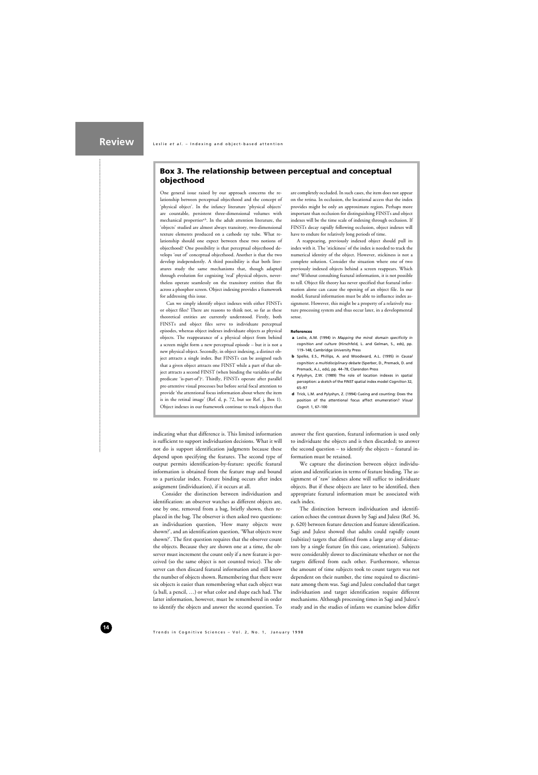# **Box 3. The relationship between perceptual and conceptual objecthood**

One general issue raised by our approach concerns the relationship between perceptual objecthood and the concept of 'physical object'. In the infancy literature 'physical objects' are countable, persistent three-dimensional volumes with mechanical properties<sup>a,b</sup>. In the adult attention literature, the 'objects' studied are almost always transitory, two-dimensional texture elements produced on a cathode ray tube. What relationship should one expect between these two notions of objecthood? One possibility is that perceptual objecthood develops 'out of' conceptual objecthood. Another is that the two develop independently. A third possibility is that both literatures study the same mechanisms that, though adapted through evolution for cognizing 'real' physical objects, nevertheless operate seamlessly on the transitory entities that flit across a phosphor screen. Object indexing provides a framework for addressing this issue.

Can we simply identify object indexes with either FINSTs or object files? There are reasons to think not, so far as these theoretical entities are currently understood. Firstly, both FINSTs and object files serve to individuate perceptual episodes, whereas object indexes individuate objects as physical objects. The reappearance of a physical object from behind a screen might form a new perceptual episode – but it is not a new physical object. Secondly, in object indexing, a distinct object attracts a single index. But FINSTs can be assigned such that a given object attracts one FINST while a part of that object attracts a second FINST (when binding the variables of the predicate 'is-part-of')<sup>c</sup>. Thirdly, FINSTs operate after parallel pre-attentive visual processes but before serial focal attention to provide 'the attentional focus information about where the item is in the retinal image' (Ref. d, p. 72, but see Ref. j, Box 1). Object indexes in our framework continue to track objects that are completely occluded. In such cases, the item does not appear on the retina. In occlusion, the locational access that the index provides might be only an approximate region. Perhaps more important than occlusion for distinguishing FINSTs and object indexes will be the time scale of indexing through occlusion. If FINSTs decay rapidly following occlusion, object indexes will have to endure for relatively long periods of time.

A reappearing, previously indexed object should pull its index with it. The 'stickiness' of the index is needed to track the numerical identity of the object. However, stickiness is not a complete solution. Consider the situation where one of two previously indexed objects behind a screen reappears. Which one? Without consulting featural information, it is not possible to tell. Object file theory has never specified that featural information alone can cause the opening of an object file. In our model, featural information must be able to influence index assignment. However, this might be a property of a relatively mature processing system and thus occur later, in a developmental sense.

#### **References**

- **a** Leslie, A.M. (1994) in *Mapping the mind: domain specificity in cognition and culture* (Hirschfeld, L. and Gelman, S., eds), pp. 119–148, Cambridge University Press
- **b** Spelke, E.S., Phillips, A. and Woodward, A.L. (1995) in *Causal cognition: a multidisciplinary debate* (Sperber, D., Premack, D. and Premack, A.J., eds), pp. 44–78, Clarendon Press
- **c** Pylyshyn, Z.W. (1989) The role of location indexes in spatial perception: a sketch of the FINST spatial index model *Cognition* 32, 65–97
- **d** Trick, L.M. and Pylyshyn, Z. (1994) Cueing and counting: Does the position of the attentional focus affect enumeration? *Visual Cognit.* 1, 67–100

indicating what that difference is. This limited information is sufficient to support individuation decisions. What it will not do is support identification judgments because these depend upon specifying the features. The second type of output permits identification-by-feature: specific featural information is obtained from the feature map and bound to a particular index. Feature binding occurs after index assignment (individuation), if it occurs at all.

Consider the distinction between individuation and identification: an observer watches as different objects are, one by one, removed from a bag, briefly shown, then replaced in the bag. The observer is then asked two questions: an individuation question, 'How many objects were shown?', and an identification question, 'What objects were shown?'. The first question requires that the observer count the objects. Because they are shown one at a time, the observer must increment the count only if a new feature is perceived (so the same object is not counted twice). The observer can then discard featural information and still know the number of objects shown. Remembering that there were six objects is easier than remembering what each object was (a ball, a pencil, …) or what color and shape each had. The latter information, however, must be remembered in order to identify the objects and answer the second question. To answer the first question, featural information is used only to individuate the objects and is then discarded; to answer the second question – to identify the objects – featural information must be retained.

We capture the distinction between object individuation and identification in terms of feature binding. The assignment of 'raw' indexes alone will suffice to individuate objects. But if these objects are later to be identified, then appropriate featural information must be associated with each index.

The distinction between individuation and identification echoes the contrast drawn by Sagi and Julesz (Ref. 36, p. 620) between feature detection and feature identification. Sagi and Julesz showed that adults could rapidly count (subitize) targets that differed from a large array of distractors by a single feature (in this case, orientation). Subjects were considerably slower to discriminate whether or not the targets differed from each other. Furthermore, whereas the amount of time subjects took to count targets was not dependent on their number, the time required to discriminate among them was. Sagi and Julesz concluded that target individuation and target identification require different mechanisms. Although processing times in Sagi and Julesz's study and in the studies of infants we examine below differ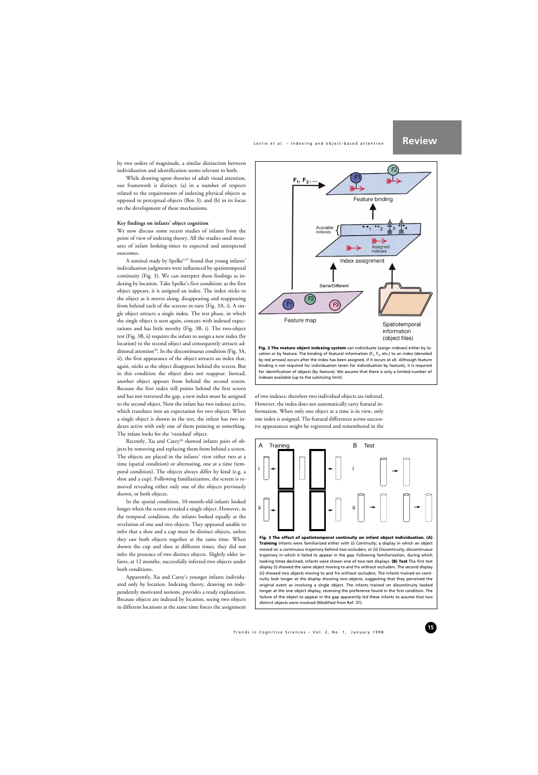# **Review**

by two orders of magnitude, a similar distinction between individuation and identification seems relevant to both.

While drawing upon theories of adult visual attention, our framework is distinct: (a) in a number of respects related to the requirements of indexing physical objects as opposed to perceptual objects (Box 3); and (b) in its focus on the development of these mechanisms.

## **Key findings on infants' object cognition**

We now discuss some recent studies of infants from the point of view of indexing theory. All the studies used measures of infant looking-times to expected and unexpected outcomes.

A seminal study by Spelke<sup>4,37</sup> found that young infants' individuation judgments were influenced by spatiotemporal continuity (Fig. 3). We can interpret these findings as indexing by location. Take Spelke's first condition: as the first object appears, it is assigned an index. The index sticks to the object as it moves along, disappearing and reappearing from behind each of the screens in turn (Fig. 3A, i). A single object attracts a single index. The test phase, in which the single object is seen again, concurs with indexed expectations and has little novelty (Fig. 3B, i). The two-object test (Fig. 3B, ii) requires the infant to assign a new index (by location) to the second object and consequently attracts additional attention<sup>30</sup>. In the discontinuous condition (Fig. 3A, ii), the first appearance of the object attracts an index that, again, sticks as the object disappears behind the screen. But in this condition the object does not reappear. Instead, another object appears from behind the second screen. Because the first index still points behind the first screen and has not traversed the gap, a new index must be assigned to the second object. Now the infant has two indexes active, which translates into an expectation for two objects. When a single object is shown in the test, the infant has two indexes active with only one of them pointing at something. The infant looks for the 'vanished' object.

Recently, Xu and Carey<sup>34</sup> showed infants pairs of objects by removing and replacing them from behind a screen. The objects are placed in the infants' view either two at a time (spatial condition) or alternating, one at a time (temporal condition). The objects always differ by kind (e.g. a shoe and a cup). Following familiarization, the screen is removed revealing either only one of the objects previously shown, or both objects.

In the spatial condition, 10-month-old infants looked longer when the screen revealed a single object. However, in the temporal condition, the infants looked equally at the revelation of one and two objects. They appeared unable to infer that a shoe and a cup must be distinct objects, unless they saw both objects together at the same time. When shown the cup and shoe at different times, they did not infer the presence of two distinct objects. Slightly older infants, at 12 months, successfully inferred two objects under both conditions.

Apparently, Xu and Carey's younger infants individuated only by location. Indexing theory, drawing on independently motivated notions, provides a ready explanation. Because objects are indexed by location, seeing two objects in different locations at the same time forces the assignment



by red arrows) occurs after the index has been assigned, if it occurs at all. Although feature binding is not required for individuation (even for individuation by feature), it is required for identification of objects (by feature). We assume that there is only a limited number of indexes available (up to the subitizing limit).

of two indexes: therefore two individual objects are inferred. However, the index does not automatically carry featural information. When only one object at a time is in view, only one index is assigned. The featural differences across successive appearances might be registered and remembered in the



display (i) showed the same object moving to and fro without occluders. The second display (ii) showed two objects moving to and fro without occluders. The infants trained on continuity look longer at the display showing two objects, suggesting that they perceived the original event as involving a single object. The infants trained on discontinuity looked longer at the one object display, reversing the preference found in the first condition. The failure of the object to appear in the gap apparently led these infants to assume that two distinct objects were involved (Modified from Ref. 37).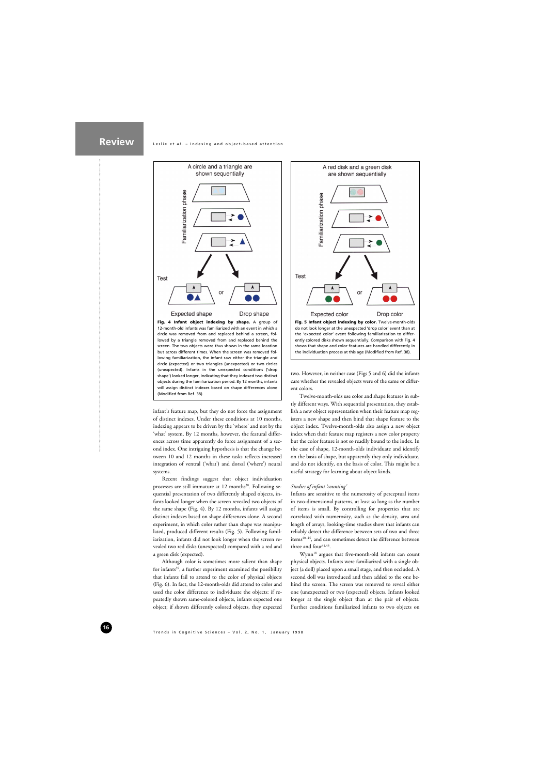

screen. The two objects were thus shown in the same location but across different times. When the screen was removed following familiarization, the infant saw either the triangle and circle (expected) or two triangles (unexpected) or two circles (unexpected). Infants in the unexpected conditions ('drop shape') looked longer, indicating that they indexed two distinct objects during the familiarization period. By 12 months, infants will assign distinct indexes based on shape differences alone (Modified from Ref. 38).

infant's feature map, but they do not force the assignment of distinct indexes. Under these conditions at 10 months, indexing appears to be driven by the 'where' and not by the 'what' system. By 12 months, however, the featural differences across time apparently do force assignment of a second index. One intriguing hypothesis is that the change between 10 and 12 months in these tasks reflects increased integration of ventral ('what') and dorsal ('where') neural systems.

Recent findings suggest that object individuation processes are still immature at 12 months<sup>38</sup>. Following sequential presentation of two differently shaped objects, infants looked longer when the screen revealed two objects of the same shape (Fig. 4). By 12 months, infants will assign distinct indexes based on shape differences alone. A second experiment, in which color rather than shape was manipulated, produced different results (Fig. 5). Following familiarization, infants did not look longer when the screen revealed two red disks (unexpected) compared with a red and a green disk (expected).

Although color is sometimes more salient than shape for infants<sup>39</sup>, a further experiment examined the possibility that infants fail to attend to the color of physical objects (Fig. 6). In fact, the 12-month-olds did attend to color and used the color difference to individuate the objects: if repeatedly shown same-colored objects, infants expected one object; if shown differently colored objects, they expected



two. However, in neither case (Figs 5 and 6) did the infants care whether the revealed objects were of the same or different colors.

Twelve-month-olds use color and shape features in subtly different ways. With sequential presentation, they establish a new object representation when their feature map registers a new shape and then bind that shape feature to the object index. Twelve-month-olds also assign a new object index when their feature map registers a new color property but the color feature is not so readily bound to the index. In the case of shape, 12-month-olds individuate and identify on the basis of shape, but apparently they only individuate, and do not identify, on the basis of color. This might be a useful strategy for learning about object kinds.

#### *Studies of infant 'counting'*

Infants are sensitive to the numerosity of perceptual items in two-dimensional patterns, at least so long as the number of items is small. By controlling for properties that are correlated with numerosity, such as the density, area and length of arrays, looking-time studies show that infants can reliably detect the difference between sets of two and three items<sup>40–44</sup>, and can sometimes detect the difference between three and four<sup>41,45</sup>.

Wynn18 argues that five-month-old infants can count physical objects. Infants were familiarized with a single object (a doll) placed upon a small stage, and then occluded. A second doll was introduced and then added to the one behind the screen. The screen was removed to reveal either one (unexpected) or two (expected) objects. Infants looked longer at the single object than at the pair of objects. Further conditions familiarized infants to two objects on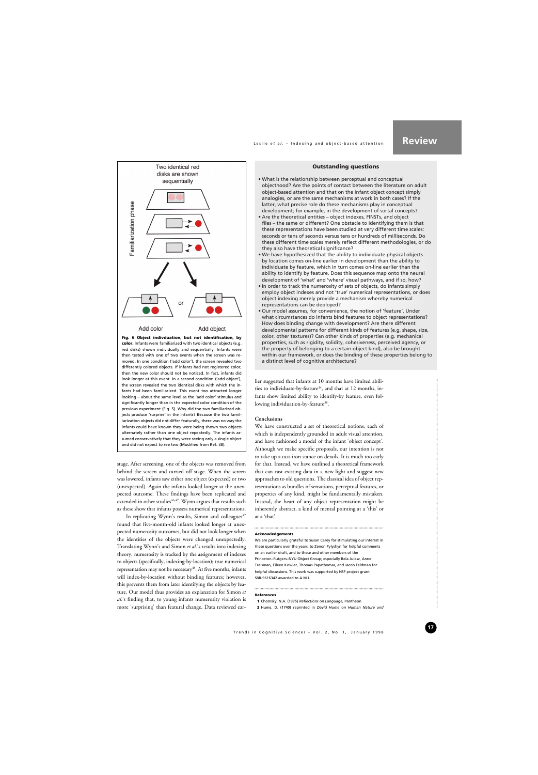

infants could have known they were being shown two objects alternately rather than one object repeatedly. The infants assumed conservatively that they were seeing only a single object and did not expect to see two (Modified from Ref. 38).

stage. After screening, one of the objects was removed from behind the screen and carried off stage. When the screen was lowered, infants saw either one object (expected) or two (unexpected). Again the infants looked longer at the unexpected outcome. These findings have been replicated and extended in other studies<sup>46,47</sup>. Wynn argues that results such as these show that infants possess numerical representations.

In replicating Wynn's results, Simon and colleagues<sup>47</sup> found that five-month-old infants looked longer at unexpected numerosity outcomes, but did not look longer when the identities of the objects were changed unexpectedly. Translating Wynn's and Simon *et al.*'s results into indexing theory, numerosity is tracked by the assignment of indexes to objects (specifically, indexing-by-location); true numerical representation may not be necessary<sup>48</sup>. At five months, infants will index-by-location without binding features; however, this prevents them from later identifying the objects by feature. Our model thus provides an explanation for Simon *et al.*'s finding that, to young infants numerosity violation is more 'surprising' than featural change. Data reviewed ear-

#### **Outstanding questions**

- What is the relationship between perceptual and conceptual objecthood? Are the points of contact between the literature on adult object-based attention and that on the infant object concept simply analogies, or are the same mechanisms at work in both cases? If the latter, what precise role do these mechanisms play in conceptual development; for example, in the development of sortal concepts?
- Are the theoretical entities object indexes, FINSTs, and object files – the same or different? One obstacle to identifying them is that these representations have been studied at very different time scales: seconds or tens of seconds versus tens or hundreds of milliseconds. Do these different time scales merely reflect different methodologies, or do they also have theoretical significance?
- We have hypothesized that the ability to individuate physical objects by location comes on-line earlier in development than the ability to individuate by feature, which in turn comes on-line earlier than the ability to identify by feature. Does this sequence map onto the neural development of 'what' and 'where' visual pathways, and if so, how?
- In order to track the numerosity of sets of objects, do infants simply employ object indexes and not 'true' numerical representations, or does object indexing merely provide a mechanism whereby numerical representations can be deployed?
- Our model assumes, for convenience, the notion of 'feature'. Under what circumstances do infants bind features to object representations? How does binding change with development? Are there different developmental patterns for different kinds of features (e.g. shape, size, color, other textures)? Can other kinds of properties (e.g. mechanical properties, such as rigidity, solidity, cohesiveness, perceived agency, or the property of belonging to a certain object kind), also be brought within our framework, or does the binding of these properties belong to a distinct level of cognitive architecture?

lier suggested that infants at 10 months have limited abilities to individuate-by-feature $34$ , and that at 12 months, infants show limited ability to identify-by feature, even following individuation-by-feature<sup>38</sup>.

#### **Conclusions**

We have constructed a set of theoretical notions, each of which is independently grounded in adult visual attention, and have fashioned a model of the infant 'object concept'. Although we make specific proposals, our intention is not to take up a cast-iron stance on details. It is much too early for that. Instead, we have outlined a theoretical framework that can cast existing data in a new light and suggest new approaches to old questions. The classical idea of object representations as bundles of sensations, perceptual features, or properties of any kind, might be fundamentally mistaken. Instead, the heart of any object representation might be inherently abstract, a kind of mental pointing at a 'this' or at a 'that'.

#### **Acknowledgements**

We are particularly grateful to Susan Carey for stimulating our interest in these questions over the years, to Zenon Pylyshyn for helpful comments on an earlier draft, and to these and other members of the Princeton–Rutgers–NYU Object Group; especially Bela Julesz, Anne Treisman, Eileen Kowler, Thomas Papathomas, and Jacob Feldman for helpful discussions. This work was supported by NSF project grant SBR-9616342 awarded to A.M.L.

#### **References**

**1** Chomsky, N.A. (1975) *Reflections on Language*, Pantheon

**2** Hume, D. (1740) reprinted in *David Hume on Human Nature and*